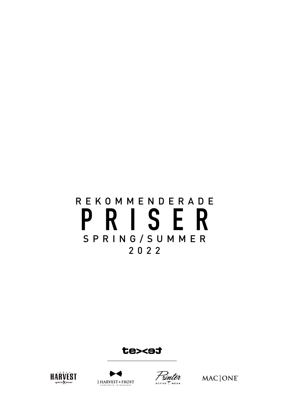# REKOMMENDERADE **PRISER** S P R I N G / S U M M E R 2022

te><st







MAC | ONE®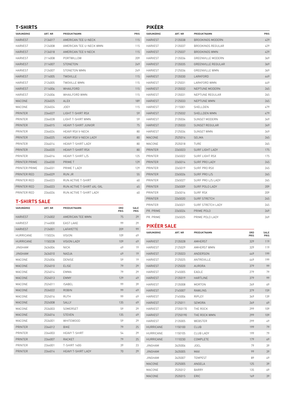### VARUMÄRKE ART. NR PRODUKTNAMN PRIS HARVEST 2134017 AMERICAN TEE U-NECK 115 HARVEST 2124008 AMERICAN TEE U-NECK WMN 115 HARVEST 2134018 AMERICAN TEE V-NECK 115 HARVEST 2114008 PORTWILLOW 209 HARVEST 2114007 STONETON 249 HARVEST 2124007 STONETON WMN 249 HARVEST 2114005 TWOVILLE 2005 2012 HARVEST 2124005 TWOVILLE WMN 115 HARVEST 2114006 WHAILFORD 2008 2014 HARVEST 2124006 WHAILFORD WMN 215 MACONE 2534025 ALEX 2000 189 MACONE 2534024 JOEY 115 PRINTER 2264027 LIGHT T-SHIRT RSX 39 PRINTER 2264028 LIGHT T-SHIRT WMN 59 PRINTER 2264015 HEAVY T-SHIRT JUNIOR 25 PRINTER 2264024 HEAVY RSX V-NECK 200 PRINTER 2264025 HEAVY RSX V-NECK LADY PRINTER 2264014 HEAVY T-SHIRT LADY 200 PRINTER 2264020 HEAVY T-SHIRT RSX 80 PRINTER 2264016 HEAVY T-SHIRT L/S PRINTER PRIME 2264030 PRIME T 129 PRINTER PRIME 2264031 PRIME T LADY 129 PRINTER RED 2264029 RUN JR 35 PRINTER RED 2264023 RUN ACTIVE T-SHIRT 60 PRINTER RED 2264023 RUN ACTIVE T-SHIRT 4XL-5XL 65 PRINTER RED 2264026 RUN ACTIVE T-SHIRT LADY 60

| <b>PIKÉER</b>  |         |                           |      |
|----------------|---------|---------------------------|------|
| VARUMÄRKE      | ART. NR | PRODUKTNAMN               | PRIS |
| <b>HARVEST</b> | 2135038 | <b>BROOKINGS MODERN</b>   | 429  |
| HARVEST        | 2135037 | <b>BROOKINGS REGULAR</b>  | 429  |
| <b>HARVEST</b> | 2125037 | <b>BROOKINGS WMN</b>      | 429  |
| <b>HARVEST</b> | 2135036 | GREENVILLE MODERN         | 369  |
| <b>HARVEST</b> | 2135035 | <b>GREENVILLE REGULAR</b> | 369  |
| <b>HARVEST</b> | 2125036 | <b>GREENVILLE WMN</b>     | 369  |
| <b>HARVEST</b> | 2135030 | LARKFORD                  | 449  |
| <b>HARVEST</b> | 2125031 | LARKFORD WMN              | 449  |
| <b>HARVEST</b> | 2135032 | NEPTUNE MODERN            | 265  |
| <b>HARVEST</b> | 2135031 | NEPTUNE REGULAR           | 265  |
| <b>HARVEST</b> | 2125033 | NEPTUNE WMN               | 265  |
| <b>HARVEST</b> | 2115001 | SHELLDEN                  | 479  |
| <b>HARVEST</b> | 2125032 | <b>SHELLDEN WMN</b>       | 479  |
| <b>HARVEST</b> | 2135034 | SUNSET MODERN             | 349  |
| <b>HARVEST</b> | 2135033 | <b>SUNSET REGULAR</b>     | 349  |
| HARVEST        | 2125034 | SUNSET WMN                | 349  |
| MACONE         | 2525014 | <b>SELMA</b>              | 265  |
| MACONE         | 2535018 | TURE                      | 265  |
| PRINTER        | 2265023 | <b>SURF LIGHT LADY</b>    | 175  |
| PRINTER        | 2265022 | <b>SURF LIGHT RSX</b>     | 175  |
| PRINTER        | 2265014 | SURF PRO LADY             | 245  |
| PRINTER        | 2265019 | SURF PRO RSX              | 245  |
| PRINTER        | 2265026 | SURF PRO L/S              | 265  |
| PRINTER        | 2265027 | SURF PRO L/S LADY         | 265  |
| PRINTER        | 2265009 | SURF POLO LADY            | 209  |
| PRINTER        | 2265016 | SURF RSX                  | 209  |
| PRINTER        | 2265020 | <b>SURF STRETCH</b>       | 245  |
| PRINTER        | 2265021 | <b>SURF STRETCH LADY</b>  | 245  |
| PR. PRIME      | 2265024 | PRIME POLO                | 269  |
| PR. PRIME      | 2265025 | PRIME POLO LADY           | 269  |

## **T-SHIRTS SALE**

| VARUMÄRKE        | ART. NR | PRODUKTNAMN                | ORD<br>PRIS | <b>SALE</b><br>PRIS |
|------------------|---------|----------------------------|-------------|---------------------|
| <b>HARVEST</b>   | 2124002 | AMERICAN TEE WMN           | 75          | 29                  |
| <b>HARVEST</b>   | 2144000 | <b>FAST I AKF</b>          | 99          | 29                  |
| <b>HARVEST</b>   | 2124001 | <b>I AFAYFTTF</b>          | 209         | 99                  |
| <b>HURRICANE</b> | 1150224 | <b>VISION</b>              | 109         | 49                  |
| <b>HURRICANE</b> | 1150228 | <b>VISION LADY</b>         | 109         | 49                  |
| <b>JINGHAM</b>   | 2634004 | <b>NICK</b>                | 49          | 19                  |
| <b>JINGHAM</b>   | 2634010 | NADJA                      | 49          | 19                  |
| MACONE           | 2524006 | DENISE                     | 59          | 19                  |
| MACONE           | 2524010 | <b>ELISE</b>               | 79          | 29                  |
| MACONE           | 2524014 | EMMA                       | 79          | 29                  |
| MACONE           | 2524013 | <b>FMMY</b>                | 129         | 49                  |
| MACONE           | 2524011 | <b>ISABEL</b>              | 99          | 39                  |
| MACONE           | 2534022 | <b>ROBIN</b>               | 99          | 49                  |
| MACONE           | 2524016 | <b>RUTH</b>                | 99          | 49                  |
| MACONE           | 2524008 | <b>SALLY</b>               | 135         | 49                  |
| MACONE           | 2534003 | SOMERSET                   | 59          | 29                  |
| MACONE           | 2534016 | <b>STEVEN</b>              | 135         | 49                  |
| MACONE           | 2534001 | <b>WHITEWOOD</b>           | 59          | 29                  |
| <b>PRINTER</b>   | 2264012 | <b>BIKE</b>                | 79          | 25                  |
| PRINTER          | 2264003 | <b>HEAVY T-SHIRT</b>       | 54          | 29                  |
| <b>PRINTER</b>   | 2264007 | <b>RACKET</b>              | 79          | 25                  |
| PRINTER          | 2264001 | <b>T-SHIRT 140G</b>        | 39          | 23                  |
| <b>PRINTER</b>   | 2264014 | <b>HEAVY T-SHIRT I ADY</b> | 70          | 29                  |
|                  |         |                            |             |                     |

#### **PIKÉER SALE**

| VARUMÄRKE        | ART. NR  | PRODUKTNAMN      | ORD<br>PRIS | SALE<br><b>PRIS</b> |
|------------------|----------|------------------|-------------|---------------------|
| <b>HARVEST</b>   | 2135028  | <b>AMHERST</b>   | 329         | 119                 |
| <b>HARVEST</b>   | 2125029  | AMHERST WMN      | 329         | 119                 |
| <b>HARVEST</b>   | 2135023  | ANDERSON         | 449         | 199                 |
| <b>HARVEST</b>   | 2125025  | ANTREVILLE       | 449         | 199                 |
| <b>HARVEST</b>   | 2125020  | <b>AURORA</b>    | 379         | 99                  |
| <b>HARVEST</b>   | 2145005  | EAGLE            | 279         | 79                  |
| <b>HARVEST</b>   | 2135019  | <b>HARTLINE</b>  | 379         | 99                  |
| <b>HARVEST</b>   | 2135008  | MORTON           | 269         | 69                  |
| <b>HARVEST</b>   | 2145007  | RAWI INS         | 379         | 159                 |
| <b>HARVEST</b>   | 2145006  | RIPLEY           | 349         | 139                 |
| <b>HARVEST</b>   | 2125011  | <b>SEMORA</b>    | 269         | 69                  |
| <b>HARVEST</b>   | 27350170 | THE ROCK         | 299         | 109                 |
| <b>HARVEST</b>   | 27250190 | THE ROCK WMN     | 299         | 109                 |
| <b>HARVEST</b>   | 2135005  | WEBSTER          | 299         | 49                  |
| <b>HURRICANE</b> | 1150100  | CLUB.            | 199         | 79                  |
| HURRICANE        | 1150105  | <b>CLUB LADY</b> | 199         | 79                  |
| HURRICANE        | 1110230  | COMPLETE         | 179         | 69                  |
| <b>JINGHAM</b>   | 2635006  | JOEL             | 79          | 39                  |
| <b>JINGHAM</b>   | 2635005  | <b>MAX</b>       | 99          | 39                  |
| <b>JINGHAM</b>   | 2635007  | <b>TEMPEST</b>   | 89          | 49                  |
| MACONE           | 2525005  | ANGFI A          | 125         | 39                  |
| MACONE           | 2535012  | <b>BARRY</b>     | 135         | 69                  |
| MACONE           | 2535015  | ERIC             | 169         | 39                  |

#### **T-SHIRTS**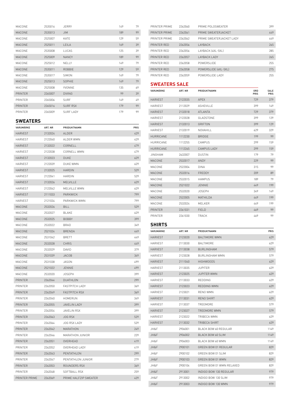| MACONE         | 2535016 | JERRY            | 149 | 79 |
|----------------|---------|------------------|-----|----|
| MACONE         | 2535013 | <b>JIM</b>       | 189 | 99 |
| MACONE         | 2525007 | KATE             | 129 | 59 |
| <b>MACONE</b>  | 2525011 | LEILA            | 169 | 39 |
| MACONE         | 2535008 | LUCAS            | 125 | 39 |
| <b>MACONE</b>  | 2525009 | <b>NANCY</b>     | 189 | 99 |
| MACONE         | 2525012 | NELLY            | 149 | 79 |
| <b>MACONE</b>  | 2535011 | ROBBIE           | 129 | 59 |
| MACONE         | 2535017 | SIMON            | 149 | 79 |
| <b>MACONE</b>  | 2525013 | SOPHIE           | 149 | 79 |
| MACONE         | 2525008 | YVONNE           | 135 | 69 |
| <b>PRINTER</b> | 2265007 | <b>DIVING</b>    | 99  | 39 |
| <b>PRINTER</b> | 2265006 | SURF             | 149 | 49 |
| <b>PRINTER</b> | 2265016 | <b>SURF RSX</b>  | 179 | 99 |
| <b>PRINTER</b> | 2265009 | <b>SURF LADY</b> | 179 | 99 |
|                |         |                  |     |    |

## **SWEATERS**

| VARUMÄRKE      | ART. NR | PRODUKTNAMN           | PRIS |
|----------------|---------|-----------------------|------|
| <b>HARVEST</b> | 2132024 | <b>ALDER</b>          | 429  |
| <b>HARVEST</b> | 2122040 | ALDER WMN             | 429  |
| <b>HARVEST</b> | 2132022 | CORNELL               | 479  |
| <b>HARVEST</b> | 2122038 | CORNELL WMN           | 479  |
| <b>HARVEST</b> | 2132023 | <b>DUKE</b>           | 629  |
| <b>HARVEST</b> | 2122039 | DUKE WMN              | 629  |
| <b>HARVEST</b> | 2132025 | <b>HARDIN</b>         | 529  |
| HARVEST        | 2122041 | HARDIN                | 529  |
| HARVEST        | 2132026 | <b>MELVILLE</b>       | 629  |
| <b>HARVEST</b> | 2122042 | MELVILLE WMN          | 629  |
| HARVEST        | 2111033 | PARKWICK              | 799  |
| <b>HARVEST</b> | 2121034 | PARKWICK WMN          | 799  |
| MACONE         | 2532026 | <b>BILL</b>           | 529  |
| MACONE         | 2532027 | BLAKE                 | 629  |
| <b>MACONE</b>  | 2532025 | <b>BOBBY</b>          | 399  |
| MACONE         | 2532022 | BRAD                  | 349  |
| <b>MACONE</b>  | 2521024 | <b>BRENDA</b>         | 449  |
| MACONE         | 2531042 | <b>BRETT</b>          | 449  |
| MACONE         | 2532028 | <b>CHRIS</b>          | 449  |
| MACONE         | 2532029 | DAVID                 | 379  |
| MACONE         | 2531039 | <b>JACOB</b>          | 349  |
| MACONE         | 2531038 | <b>JASON</b>          | 499  |
| MACONE         | 2521022 | JENNIE                | 499  |
| MACONE         | 2532020 | <b>JOSEPH</b>         | 399  |
| PRINTER        | 2262044 | DUATHLON              | 299  |
| PRINTER        | 2262050 | <b>FASTPITCH LADY</b> | 369  |
| PRINTER        | 2262049 | <b>FASTPITCH RSX</b>  | 369  |
| PRINTER        | 2262040 | HOMERUN               | 349  |
| PRINTER        | 2262055 | JAVELIN LADY          | 399  |
| PRINTER        | 2262054 | JAVELIN RSX           | 399  |
| <b>PRINTER</b> | 2262063 | JOG RSX               | 529  |
| <b>PRINTER</b> | 2262064 | <b>JOG RSX LADY</b>   | 529  |
| <b>PRINTER</b> | 2262042 | MARATHON              | 249  |
| <b>PRINTER</b> | 2262046 | MARATHON JUNIOR       | 229  |
| PRINTER        | 2262051 | OVERHEAD              | 419  |
| PRINTER        | 2262052 | OVERHEAD LADY         | 419  |
| PRINTER        | 2262043 | PENTATHLON            | 299  |
| <b>PRINTER</b> | 2262047 | PENTATHLON JUNIOR     | 279  |
| PRINTER        | 2262053 | ROUNDERS RSX          | 369  |
| <b>PRINTER</b> | 2262048 | SOFTBALL RSX          | 259  |
| PRINTER PRIME  | 2262069 | PRIME HALFZIP SWEATER | 429  |

| PRINTER PRIME    | 2262060 | PRIME POLOSWEATER        |             | 399          |
|------------------|---------|--------------------------|-------------|--------------|
| PRINTER PRIME    | 2262061 | PRIME SWEATERJACKET      |             | 449          |
| PRINTER PRIME    | 2262062 | PRIME SWEATERJACKET LADY |             | 449          |
| PRINTER RED      | 2262056 | LAYBACK                  |             | 265          |
| PRINTER RED      | 2262056 | LAYBACK (4XL-5XL)        |             | 285          |
| PRINTER RED      | 2262057 | LAYBACK LADY             |             | 265          |
| PRINTER RED      | 2262058 | POWERSLIDE               |             | 255          |
| PRINTER RED      | 2262058 | POWERSLIDE [4XL-5XL]     |             | 275          |
| PRINTER RED      | 2262059 | POWERSLIDE LADY          |             | 255          |
| SWEATERS SALE    |         |                          |             |              |
| VARUMÄRKE        | ART. NR | PRODUKTNAMN              | ORD<br>PRIS | SALE<br>PRIS |
| <b>HARVEST</b>   | 2122035 | <b>APEX</b>              | 729         | 379          |
| <b>HARVEST</b>   | 2112029 | <b>ASHEVILLE</b>         | 399         | 149          |
| <b>HARVEST</b>   | 2132018 | ATLANTA                  | 729         | 379          |
| <b>HARVEST</b>   | 2122028 | GLADSTONE                | 399         | 129          |
| <b>HARVEST</b>   | 2132013 | <b>GRIFTON</b>           | 399         | 129          |
| <b>HARVEST</b>   | 2132019 | NOVAHILL                 | 629         | 329          |
| <b>HURRICANE</b> | 1112230 | BRIDGE                   | 199         | 99           |
| <b>HURRICANE</b> | 1112255 | CAMPUS                   | 299         | 159          |
| HURRICANE        | 1112265 | <b>CAMPUS LADY</b>       | 299         | 159          |
| <b>JINGHAM</b>   | 2632007 | DUSTIN                   | 179         | 79           |
| MACONE           | 2532017 | ANDY                     | 229         | 99           |
| MACONE           | 2522004 | DINA                     | 315         | 99           |
| MACONE           | 2532016 | FREDDY                   | 209         | 89           |
| MACONE           | 2532015 | <b>HAMPUS</b>            | 189         | 79           |
| MACONE           | 2521022 | <b>JENNIE</b>            | 449         | 199          |
| MACONE           | 2532020 | <b>JOSEPH</b>            | 349         | 149          |
| MACONE           | 2522005 | MATHILDA                 | 449         | 199          |
| MACONE           | 2532024 | MELKER                   | 449         | 199          |
| <b>PRINTER</b>   | 2261031 | <b>FIELD</b>             | 469         | 99           |
| PRINTER          | 2261030 | TRACK                    | 469         | 99           |
| <b>SHIRTS</b>    |         |                          |             |              |
| VARUMÄRKE        | ART. NR | PRODUKTNAMN              |             | PRIS         |
| <b>HARVEST</b>   | 2123020 | <b>BALTIMORE WMN</b>     |             | 629          |
| <b>HARVEST</b>   | 2113030 | <b>BALTIMORE</b>         |             | 629          |
|                  |         |                          |             |              |

| <b>HARVEST</b> | 2123020 | BAI TIMORF WMN           | 629  |
|----------------|---------|--------------------------|------|
| <b>HARVEST</b> | 2113030 | BALTIMORE                | 629  |
| <b>HARVEST</b> | 2113038 | <b>BURI INGHAM</b>       | 579  |
| <b>HARVEST</b> | 2123028 | <b>BURI INGHAM WMN</b>   | 579  |
| <b>HARVEST</b> | 2111040 | <b>HIGHWOODS</b>         | 629  |
| <b>HARVEST</b> | 2113035 | <b>JUPITER</b>           | 629  |
| <b>HARVEST</b> | 2123025 | <b>JUPITER WMN</b>       | 629  |
| <b>HARVEST</b> | 2113033 | <b>REDDING</b>           | 629  |
| <b>HARVEST</b> | 2123023 | REDDING WMN              | 629  |
| <b>HARVEST</b> | 2123021 | RFNO WMN                 | 629  |
| <b>HARVEST</b> | 2113031 | RENO SHIRT               | 629  |
| <b>HARVEST</b> | 2113037 | TREEMORE                 | 579  |
| <b>HARVEST</b> | 2123027 | TRFFMORF WMN             | 579  |
| <b>HARVEST</b> | 2123022 | TRIBECA WMN              | 629  |
| <b>HARVEST</b> | 2113032 | TRIBECA SHIRT            | 629  |
| JH&F           | 2906001 | BI ACK BOW 60 REGUI AR   | 1149 |
| JH&F           | 2906002 | BLACK BOW 60 SLIM        | 1149 |
| JH&F           | 2906003 | BLACK BOW 60 WMN         | 1149 |
| JH&F           | 2900101 | GREEN BOW 01 REGULAR     | 829  |
| JH&F           | 2900102 | GREEN BOW 01 SLIM        | 829  |
| JH&F           | 2900103 | GREEN BOW 01 WMN         | 829  |
| JH&F           | 2900104 | GREEN BOW 01 WMN RELAXED | 829  |
| JH&F           | 2913001 | INDIGO BOW 130 REGULAR   | 979  |
| JH&F           | 2913002 | INDIGO BOW 130 SLIM      | 979  |
| JH&F           | 2913003 | INDIGO BOW 130 WMN       | 979  |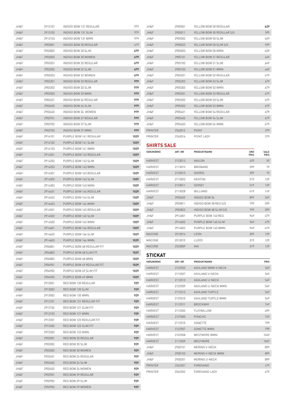| JH&F | 2913101 | INDIGO BOW 131 REGULAR    | 979  | JH&F               | 2905001 | YELLOW BOW 50 REGULAR     |      | 629  |
|------|---------|---------------------------|------|--------------------|---------|---------------------------|------|------|
| JH&F | 2913102 | INDIGO BOW 131 SLIM       | 979  | JH&F               | 2905011 | YELLOW BOW 50 REGULAR S/S |      | 599  |
| JH&F | 2913103 | INDIGO BOW 131 WMN        | 979  | JH&F               | 2905002 | YELLOW BOW 50 SLIM        |      | 629  |
| JH&F | 2903001 | INDIGO BOW 30 REGULAR     | 679  | JH&F               | 2905022 | YELLOW BOW 50 SLIM S/S    |      | 599  |
| JH&F | 2903002 | INDIGO BOW 30 SLIM        | 679  | JH&F               | 2905003 | YELLOW BOW 50 WMN         |      | 629  |
| JH&F | 2903003 | INDIGO BOW 30 WOMEN       | 679  | JH&F               | 2905101 | YELLOW BOW 51 REGULAR     |      | 649  |
| JH&F | 2903201 | INDIGO BOW 32 REGULAR     | 679  | JH&F               | 2905102 | YELLOW BOW 51 SLIM        |      | 649  |
| JH&F | 2903202 | INDIGO BOW 32 SLIM        | 679  | JH&F               | 2905103 | YELLOW BOW 51 WMN         |      | 649  |
| JH&F | 2903203 | INDIGO BOW 32 WOMEN       | 679  | JH&F               | 2905201 | YELLOW BOW 52 REGULAR     |      | 679  |
| JH&F | 2903301 | INDIGO BOW 33 REGULAR     | 979  | JH&F               | 2905202 | YELLOW BOW 52 SLIM        |      | 679  |
| JH&F | 2903302 | INDIGO BOW 33 SLIM        | 979  | JH&F               | 2905203 | YELLOW BOW 52 WMN         |      | 679  |
| JH&F | 2903303 | INDIGO BOW 33 WMN         | 979  | JH&F               | 2905301 | YELLOW BOW 53 REGULAR     |      | 679  |
| JH&F | 2903401 | INDIGO BOW 34 REGULAR     | 979  | JH&F               | 2905302 | YELLOW BOW 53 SLIM        |      | 679  |
| JH&F | 2903402 | INDIGO BOW 34 SLIM        | 979  | JH&F               | 2905303 | YELLOW BOW 53 WMN         |      | 679  |
| JH&F | 2903403 | INDIGO BOW 34 WOMEN       | 979  | JH&F               | 2905401 | YELLOW BOW 54 REGULAR     |      | 679  |
| JH&F | 2903701 | INDIGO BOW 37 REGULAR     | 979  | JH&F               | 2905402 | YELLOW BOW 54 SLIM        |      | 679  |
| JH&F | 2903702 | INDIGO BOW 37 SLIM        | 979  | JH&F               | 2905403 | YELLOW BOW 54 WMN         |      | 679  |
| JH&F | 2903703 | INDIGO BOW 37 WMN         | 979  | PRINTER            | 2263015 | <b>POINT</b>              |      | 379  |
| JH&F | 2914101 | PURPLE BOW 141 REGULAR    | 1029 | PRINTER            | 2263016 | POINT LADY                |      | 379  |
| JH&F | 2914102 | PURPLE BOW 141 SLIM       | 1029 | <b>SHIRTS SALE</b> |         |                           |      |      |
| JH&F | 2914103 | PURPLE BOW 141 WMN        | 1029 | VARUMÄRKE          |         | PRODUKTNAMN               | ORD  | SALE |
| JH&F | 2914201 | PURPLE BOW 142 REGULAR    | 1029 |                    | ART. NR |                           | PRIS | PRIS |
| JH&F | 2914202 | PURPLE BOW 142 SLIM       | 1029 | <b>HARVEST</b>     | 2123013 | AVALON                    | 429  | 59   |
| JH&F | 2914203 | PURPLE BOW 142 WMN        | 1029 | <b>HARVEST</b>     | 2113015 | <b>BRISBANE</b>           | 399  | 79   |
| JH&F | 2914301 | PURPLE BOW 143 REGULAR    | 1029 | <b>HARVEST</b>     | 2123015 | <b>DORRIS</b>             | 399  | 79   |
| JH&F | 2914302 | PURPLE BOW 143 SLIM       | 1029 | HARVEST            | 2113023 | KENTON                    | 519  | 129  |
| JH&F | 2914303 | PURPLE BOW 143 WMN        | 1029 | <b>HARVEST</b>     | 2123011 | SIDNEY                    | 519  | 129  |
| JH&F | 2914401 | PURPLE BOW 144 REGULAR    | 1029 | <b>HARVEST</b>     | 2113028 | WILLIAMS                  | 419  | 149  |
| JH&F | 2914402 | PURPLE BOW 144 SLIM       | 1029 | JH&F               | 2903602 | INDIGO BOW 36             | 899  | 349  |
| JH&F | 2914403 | PURPLE BOW 144 WMN        | 1029 | JH&F               | 2903811 | INDIGO BOW 38 REG S/S     | 799  | 399  |
| JH&F | 2914501 | PURPLE BOW 145 REGULAR    | 1029 | JH&F               | 2903822 | INDIGO BOW 38 SLIM S/S    | 799  | 399  |
| JH&F | 2914502 | PURPLE BOW 145 SLIM       | 1029 | JH&F               | 2914001 | PURPLE BOW 140 REG        | 949  | 479  |
| JH&F | 2914503 | PURPLE BOW 145 WMN        | 1029 | JH&F               | 2914002 | PURPLE BOW 140 SLIM       | 949  | 479  |
| JH&F | 2914601 | PURPLE BOW 146 REGULAR    | 1029 | JH&F               | 2914003 | PURPLE BOW 140 WMN        | 949  | 479  |
| JH&F | 2914602 | PURPLE BOW 146 SLIM       | 1029 | MACONE             | 2513014 | LEON                      | 309  | 129  |
| JH&F | 2914603 | PURPLE BOW 146 WMN        | 1029 | MACONE             | 2513015 | LLOYD                     | 319  | 129  |
| JH&F | 2904801 | PURPLE BOW 48 REGULAR FIT | 1029 | MACONE             | 2523009 | AVA                       | 319  | 129  |
| JH&F | 2904802 | PURPLE BOW 48 SLIM FIT    | 1029 | <b>STICKAT</b>     |         |                           |      |      |
| JH&F | 2904803 | PURPLE BOW 48 WMN         | 1029 | VARUMÄRKE          | ART. NR | PRODUKTNAMN               |      | PRIS |
| JH&F | 2904901 | PURPLE BOW 49 REGULAR FIT | 1029 | HARVEST            | 2122505 | ASHLAND WMN V-NECK        |      | 549  |
| JH&F | 2904902 | PURPLE BOW 49 SLIM FIT    | 1029 | <b>HARVEST</b>     | 2112507 | ASHLAND V-NECK            |      | 549  |
| JH&F | 2904903 | PURPLE BOW 49 WMN         | 1029 | <b>HARVEST</b>     | 2112512 | ASHLAND U-NECK            |      | 549  |
| JH&F | 2912001 | RED BOW 120 REGULAR       | 929  | HARVEST            | 2122509 | ASHLAND U-NECK WMN        |      | 549  |
| JH&F | 2912002 | RED BOW 120 SLIM          | 929  | <b>HARVEST</b>     | 2112513 | <b>ASHLAND TURTLE</b>     |      | 549  |
| JH&F | 2912003 | RED BOW 120 WMN           | 929  | HARVEST            | 2122510 | ASHLAND TURTLE WMN        |      | 549  |
| JH&F | 2912101 | RED BOW 121 REGULAR FIT   | 929  | <b>HARVEST</b>     | 2112511 | <b>BROCKWAY</b>           |      | 749  |
| JH&F | 2912102 | RED BOW 121 SLIM FIT      | 929  | HARVEST            | 2112505 | FLATWILLOW                |      | 699  |
| JH&F | 2912103 | RED BOW 121 WMN           | 929  | <b>HARVEST</b>     | 2127000 | PONCHO                    |      | 749  |
| JH&F | 2912201 | RED BOW 122 REGULAR FIT   | 929  | <b>HARVEST</b>     | 2112510 | SONETTE                   |      | 799  |
| JH&F | 2912202 | RED BOW 122 SLIM FIT      | 929  | <b>HARVEST</b>     | 2122507 | SONETTE WMN               |      | 799  |
| JH&F | 2912203 | RED BOW 122 WMN           | 929  | HARVEST            | 2122508 | WESTMORE WMN              |      | 1049 |
| JH&F | 2902001 | RED BOW 20 REGULAR        | 929  | <b>HARVEST</b>     | 2112509 | WESTMORE                  |      | 1049 |
| JH&F | 2902002 | RED BOW 20 SLIM           | 929  | JH&F               | 2930101 | MERINO V-NECK             |      | 899  |
| JH&F | 2902003 | RED BOW 20 WOMEN          | 929  | JH&F               | 2930103 | MERINO V-NECK WMN         |      | 899  |
| JH&F | 2902401 | RED BOW 24 REGULAR        | 929  | JH&F               | 2930201 | MERINO U-NECK             |      | 899  |
| JH&F | 2902402 | RED BOW 24 SLIM           | 929  | PRINTER            | 2262501 | FOREHAND                  |      | 479  |
| JH&F | 2902403 | RED BOW 24 WOMEN          | 929  | <b>PRINTER</b>     | 2262502 | FOREHAND LADY             |      | 479  |
| JH&F | 2902901 | RED BOW 29 REGULAR        | 929  |                    |         |                           |      |      |
| JH&F | 2902902 | RED BOW 29 SLIM           | 929  |                    |         |                           |      |      |
| JH&F | 2902903 | RED BOW 29 WOMEN          | 929  |                    |         |                           |      |      |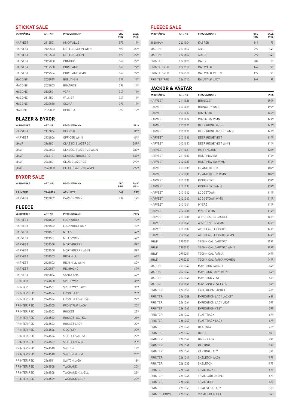#### **STICKAT SALE**

| VARUMÄRKE      | ART. NR | PRODUKTNAMN     | ORD<br>PRIS | <b>SALE</b><br><b>PRIS</b> |
|----------------|---------|-----------------|-------------|----------------------------|
| <b>HARVEST</b> | 2112501 | KNOWVILLE       | 579         | 199                        |
| <b>HARVEST</b> | 2122503 | NOTTINGMOON WMN | 699         | 299                        |
| <b>HARVEST</b> | 2112503 | NOTTINGMOON     | 699         | 299                        |
| <b>HARVEST</b> | 2127000 | PONCHO          | 649         | 299                        |
| <b>HARVEST</b> | 2112508 | PORTLAND        | 649         | 299                        |
| <b>HARVEST</b> | 2122506 | PORTI AND WMN   | 649         | 299                        |
| MACONE         | 2532019 | <b>BENJAMIN</b> | 299         | 149                        |
| MACONE         | 2522003 | <b>BEATRICE</b> | 299         | 149                        |
| MACONE         | 2522501 | <b>VERA</b>     | 349         | 149                        |
| MACONE         | 2512501 | WII MFR         | 349         | 149                        |
| MACONE         | 2532018 | <b>OSCAR</b>    | 399         | 199                        |
| MACONE         | 2522002 | OPHELIA         | 399         | 199                        |

<u> 1990 - Johann Barbara, martxa</u>

#### **BLAZER & BYXOR**

| VARUMÄRKE       | ART. NR | PRODUKTNAMN           | PRIS |
|-----------------|---------|-----------------------|------|
| <b>HARVEST</b>  | 2116004 | OFFICER               | 849  |
| <b>HARVEST</b>  | 2126006 | OFFICER WMN           | 849  |
| JH8F            | 2962001 | CLASSIC BLAZER 20     | 2899 |
| <b>IH&amp;F</b> | 2962003 | CLASSIC BLAZER 20 WMN | 2899 |
| JH&F            | 2966121 | CLASSIC TROUSERS      | 1399 |
| JH&F            | 2963001 | CLUB BLAZER 30        | 2999 |
| JH8F            | 2963003 | CLUB BLAZER 30 WMN    | 2999 |

#### **BYXOR SALE**

| VARUMÄRKE      | ART. NR | PRODUKTNAMN    | ORD<br><b>PRIS</b> | <b>SALE</b><br>PRIS |
|----------------|---------|----------------|--------------------|---------------------|
| <b>PRINTER</b> | 2266006 | <b>ATHLETE</b> | 549                | 279                 |
| <b>HARVEST</b> | 2126007 | CARSON WMN     | 499                | 199                 |

#### **FLEECE**

| VARUMÄRKE      | ART. NR | PRODUKTNAMN         | <b>PRIS</b> |
|----------------|---------|---------------------|-------------|
| <b>HARVEST</b> | 2131502 | LOCKWOOD            | 799         |
| <b>HARVEST</b> | 2121502 | I OCKWOOD WMN       | 799         |
| <b>HARVEST</b> | 2131501 | <b>MILES</b>        | 699         |
| <b>HARVEST</b> | 2121501 | MILES WMN           | 699         |
| <b>HARVEST</b> | 2131500 | NORTHDERRY          | 899         |
| <b>HARVEST</b> | 2121500 | NORTHDERRY WMN      | 899         |
| <b>HARVEST</b> | 2131503 | RICH HILL           | 629         |
| HARVEST        | 2121503 | RICH HILL WMN       | 629         |
| <b>HARVEST</b> | 2132017 | RICHMOND            | 679         |
| <b>HARVEST</b> | 2122034 | SANTA ANA           | 679         |
| <b>PRINTER</b> | 2261500 | SPEEDWAY            | 369         |
| <b>PRINTER</b> | 2261501 | SPEEDWAY LADY       | 369         |
| PRINTER RED    | 2261504 | FRONTFLIP           | 209         |
| PRINTER RED    | 2261504 | FRONTFLIP 4XL-5XL   | 229         |
| PRINTER RED    | 2261505 | FRONTFLIP LADY      | 209         |
| PRINTER RED    | 2261502 | ROCKET              | 229         |
| PRINTER RED    | 2261502 | ROCKET 4XI-5XI      | 249         |
| PRINTER RED    | 2261503 | ROCKET LADY         | 229         |
| PRINTER RED    | 2261506 | <b>SIDEFLIP</b>     | 209         |
| PRINTER RED    | 2261506 | SIDEFLIP 4XL-5XL    | 229         |
| PRINTER RED    | 2261507 | SIDEFLIP LADY       | 209         |
| PRINTER RED    | 2261510 | <b>SWITCH</b>       | 189         |
| PRINTER RED    | 2261510 | SWITCH 4XL-5XL      | 209         |
| PRINTER RED    | 2261511 | SWITCH LADY         | 189         |
| PRINTER RED    | 2261508 | TWOHAND             | 209         |
| PRINTER RED    | 2261508 | TWOHAND 4XL-5XL     | 229         |
| PRINTER RED    | 2261509 | <b>TWOHAND LADY</b> | 209         |

#### **FLEECE SALE**

| VARUMÄRKE      | ART. NR | PRODUKTNAMN      | ORD<br><b>PRIS</b> | SALE<br>PRIS |
|----------------|---------|------------------|--------------------|--------------|
| <b>JINGHAM</b> | 2631004 | <b>KASPER</b>    | 149                | 79           |
| MACONE         | 2531502 | ABFI             | 299                | 149          |
| MACONE         | 2521502 | ADFI F           | 299                | 149          |
| PRINTER        | 2262025 | RAI I Y          | 209                | 79           |
| PRINTER RED    | 2261512 | RAII WAI K       | 169                | 99           |
| PRINTER RED    | 2261512 | RAILWALK 4XL-5XL | 179                | 99           |
| PRINTER RED    | 2261513 | RAILWALK LADY    | 169                | 99           |

## **JACKOR & VÄSTAR**

| ,,,,,,,,,,     | 1.5.1   |                         |      |
|----------------|---------|-------------------------|------|
| VARUMÄRKE      | ART. NR | PRODUKTNAMN             | PRIS |
| <b>HARVEST</b> | 2111036 | <b>BRINKLEY</b>         | 1999 |
| HARVEST        | 2121039 | BRINKLEY WMN            | 1999 |
| HARVEST        | 2131037 | COVENTRY                | 1499 |
| HARVEST        | 2121026 | COVENTRY WMN            | 1499 |
| <b>HARVEST</b> | 2131039 | DEER RIDGE JACKET       | 1449 |
| HARVEST        | 2121032 | DEER RIDGE JACKET WMN   | 1449 |
| <b>HARVEST</b> | 2131040 | DEER RIDGE VEST         | 1149 |
| <b>HARVEST</b> | 2121037 | DEER RIDGE VEST WMN     | 1149 |
| <b>HARVEST</b> | 2111031 | HARRINGTON              | 1299 |
| HARVEST        | 2111030 | HUNTINGVIEW             | 1749 |
| <b>HARVEST</b> | 2121030 | HUNTINGVIEW WMN         | 1749 |
| HARVEST        | 2131038 | ISLAND BLOCK            | 1899 |
| HARVEST        | 2121031 | <b>ISLAND BLOCK WMN</b> | 1899 |
| <b>HARVEST</b> | 2111032 | KINGSPORT               | 1399 |
| <b>HARVEST</b> | 2121033 | KINGSPORT WMN           | 1399 |
| HARVEST        | 2131042 | LODGETOWN               | 1149 |
| <b>HARVEST</b> | 2121040 | LODGETOWN WMN           | 1149 |
| HARVEST        | 2131041 | <b>MYERS</b>            | 1149 |
| <b>HARVEST</b> | 2121038 | MYERS WMN               | 1149 |
| <b>HARVEST</b> | 2111038 | WINCHESTER JACKET       | 1499 |
| <b>HARVEST</b> | 2121042 | WINCHESTER WMN          | 1499 |
| <b>HARVEST</b> | 2111037 | WOODLAKE HEIGHTS        | 1449 |
| HARVEST        | 2121041 | WOODLAKE HEIGHTS WMN    | 1449 |
| JH&F           | 2990001 | TECHNICAL CARCOAT       | 3999 |
| JH&F           | 2990003 | TECHNICAL CARCOAT WMN   | 3999 |
| JH&F           | 2990201 | TECHNICAL PARKA         | 4499 |
| JH&F           | 2990203 | TECHNICAL PARKA WOMEN   | 4499 |
| MACONE         | 2531047 | MAVERICK JACKET         | 649  |
| MACONE         | 2521047 | MAVERICK LADY JACKET    | 649  |
| <b>MACONE</b>  | 2531048 | MAVERICK VEST           | 599  |
| MACONE         | 2521048 | MAVERICK VEST LADY      | 599  |
| PRINTER        | 2261057 | EXPEDITION JACKET       | 629  |
| PRINTER        | 2261058 | EXPEDITION LADY JACKET  | 629  |
| PRINTER        | 2261064 | EXPEDITION LADY VEST    | 579  |
| PRINTER        | 2261063 | EXPEDITION VEST         | 579  |
| PRINTER        | 2261042 | <b>FLAT TRACK</b>       | 679  |
| PRINTER        | 2261043 | FLAT TRACK LADY         | 679  |
| <b>PRINTER</b> | 2261046 | <b>HEADWAY</b>          | 429  |
| PRINTER        | 2261067 | HIKER                   | 899  |
| PRINTER        | 2261068 | HIKER LADY              | 899  |
| PRINTER        | 2261061 | KARTING                 | 749  |
| <b>PRINTER</b> | 2261062 | KARTING LADY            | 749  |
| PRINTER        | 2261041 | SKELETON LADY           | 979  |
| <b>PRINTER</b> | 2261035 | SKELETON                | 979  |
| PRINTER        | 2261044 | TRIAL JACKET            | 679  |
| PRINTER        | 2261045 | TRIAL LADY JACKET       | 679  |
| PRINTER        | 2261059 | TRIAL VEST              | 529  |
| PRINTER        | 2261060 | TRIAL VEST LADY         | 529  |
| PRINTER PRIME  | 2261065 | PRIME SOFTSHELL         | 849  |
|                |         |                         |      |